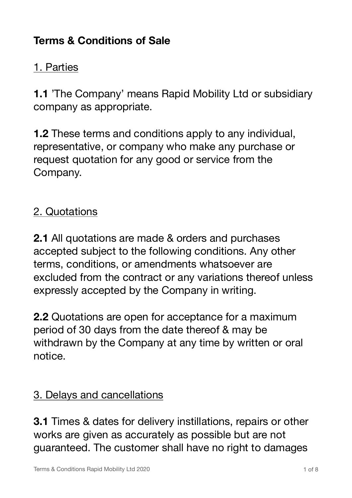## **Terms & Conditions of Sale**

#### 1. Parties

**1.1** 'The Company' means Rapid Mobility Ltd or subsidiary company as appropriate.

**1.2** These terms and conditions apply to any individual, representative, or company who make any purchase or request quotation for any good or service from the Company.

## 2. Quotations

**2.1** All quotations are made & orders and purchases accepted subject to the following conditions. Any other terms, conditions, or amendments whatsoever are excluded from the contract or any variations thereof unless expressly accepted by the Company in writing.

**2.2** Quotations are open for acceptance for a maximum period of 30 days from the date thereof & may be withdrawn by the Company at any time by written or oral notice.

#### 3. Delays and cancellations

**3.1** Times & dates for delivery instillations, repairs or other works are given as accurately as possible but are not guaranteed. The customer shall have no right to damages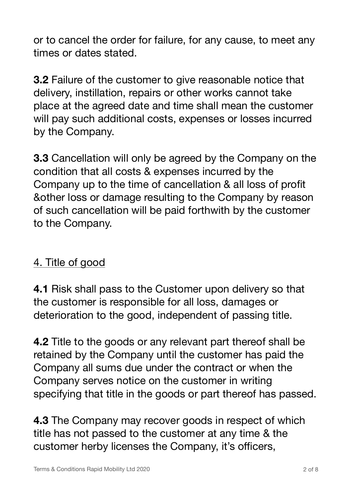or to cancel the order for failure, for any cause, to meet any times or dates stated.

**3.2** Failure of the customer to give reasonable notice that delivery, instillation, repairs or other works cannot take place at the agreed date and time shall mean the customer will pay such additional costs, expenses or losses incurred by the Company.

**3.3** Cancellation will only be agreed by the Company on the condition that all costs & expenses incurred by the Company up to the time of cancellation & all loss of profit &other loss or damage resulting to the Company by reason of such cancellation will be paid forthwith by the customer to the Company.

# 4. Title of good

**4.1** Risk shall pass to the Customer upon delivery so that the customer is responsible for all loss, damages or deterioration to the good, independent of passing title.

**4.2** Title to the goods or any relevant part thereof shall be retained by the Company until the customer has paid the Company all sums due under the contract or when the Company serves notice on the customer in writing specifying that title in the goods or part thereof has passed.

**4.3** The Company may recover goods in respect of which title has not passed to the customer at any time & the customer herby licenses the Company, it's officers,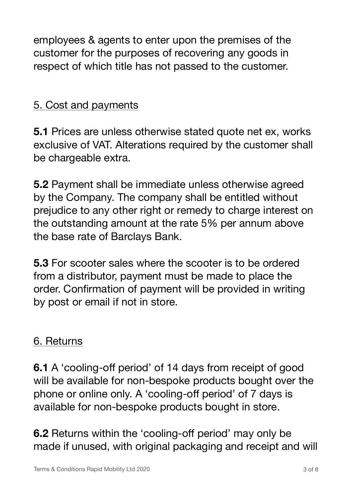employees & agents to enter upon the premises of the customer for the purposes of recovering any goods in respect of which title has not passed to the customer.

## 5. Cost and payments

**5.1** Prices are unless otherwise stated quote net ex, works exclusive of VAT. Alterations required by the customer shall be chargeable extra.

**5.2** Payment shall be immediate unless otherwise agreed by the Company. The company shall be entitled without prejudice to any other right or remedy to charge interest on the outstanding amount at the rate 5% per annum above the base rate of Barclays Bank.

**5.3** For scooter sales where the scooter is to be ordered from a distributor, payment must be made to place the order. Confirmation of payment will be provided in writing by post or email if not in store.

#### 6. Returns

**6.1** A 'cooling-off period' of 14 days from receipt of good will be available for non-bespoke products bought over the phone or online only. A 'cooling-off period' of 7 days is available for non-bespoke products bought in store.

**6.2** Returns within the 'cooling-off period' may only be made if unused, with original packaging and receipt and will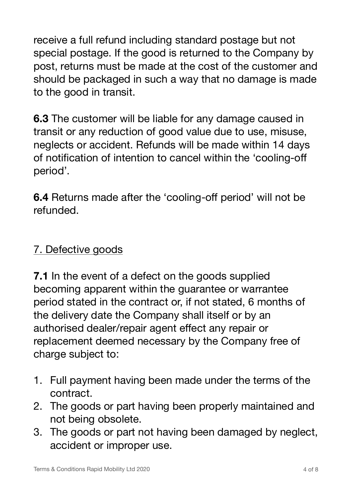receive a full refund including standard postage but not special postage. If the good is returned to the Company by post, returns must be made at the cost of the customer and should be packaged in such a way that no damage is made to the good in transit.

**6.3** The customer will be liable for any damage caused in transit or any reduction of good value due to use, misuse, neglects or accident. Refunds will be made within 14 days of notification of intention to cancel within the 'cooling-off period'.

**6.4** Returns made after the 'cooling-off period' will not be refunded.

# 7. Defective goods

**7.1** In the event of a defect on the goods supplied becoming apparent within the guarantee or warrantee period stated in the contract or, if not stated, 6 months of the delivery date the Company shall itself or by an authorised dealer/repair agent effect any repair or replacement deemed necessary by the Company free of charge subject to:

- 1. Full payment having been made under the terms of the contract.
- 2. The goods or part having been properly maintained and not being obsolete.
- 3. The goods or part not having been damaged by neglect, accident or improper use.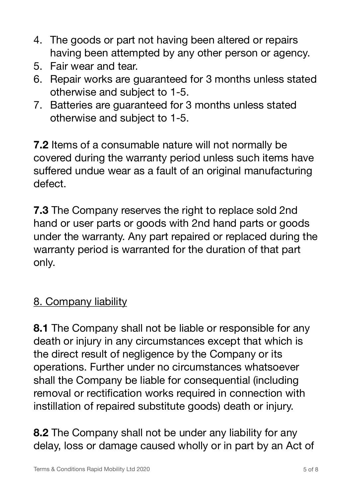- 4. The goods or part not having been altered or repairs having been attempted by any other person or agency.
- 5. Fair wear and tear.
- 6. Repair works are guaranteed for 3 months unless stated otherwise and subject to 1-5.
- 7. Batteries are guaranteed for 3 months unless stated otherwise and subject to 1-5.

**7.2** Items of a consumable nature will not normally be covered during the warranty period unless such items have suffered undue wear as a fault of an original manufacturing defect.

**7.3** The Company reserves the right to replace sold 2nd hand or user parts or goods with 2nd hand parts or goods under the warranty. Any part repaired or replaced during the warranty period is warranted for the duration of that part only.

# 8. Company liability

**8.1** The Company shall not be liable or responsible for any death or injury in any circumstances except that which is the direct result of negligence by the Company or its operations. Further under no circumstances whatsoever shall the Company be liable for consequential (including removal or rectification works required in connection with instillation of repaired substitute goods) death or injury.

**8.2** The Company shall not be under any liability for any delay, loss or damage caused wholly or in part by an Act of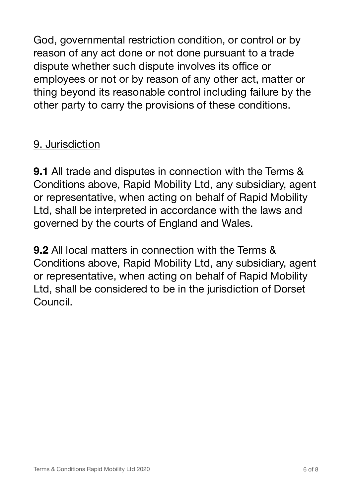God, governmental restriction condition, or control or by reason of any act done or not done pursuant to a trade dispute whether such dispute involves its office or employees or not or by reason of any other act, matter or thing beyond its reasonable control including failure by the other party to carry the provisions of these conditions.

# 9. Jurisdiction

**9.1** All trade and disputes in connection with the Terms & Conditions above, Rapid Mobility Ltd, any subsidiary, agent or representative, when acting on behalf of Rapid Mobility Ltd, shall be interpreted in accordance with the laws and governed by the courts of England and Wales.

**9.2** All local matters in connection with the Terms & Conditions above, Rapid Mobility Ltd, any subsidiary, agent or representative, when acting on behalf of Rapid Mobility Ltd, shall be considered to be in the jurisdiction of Dorset Council.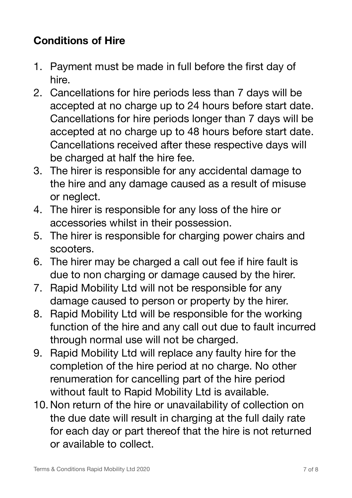# **Conditions of Hire**

- 1. Payment must be made in full before the first day of hire.
- 2. Cancellations for hire periods less than 7 days will be accepted at no charge up to 24 hours before start date. Cancellations for hire periods longer than 7 days will be accepted at no charge up to 48 hours before start date. Cancellations received after these respective days will be charged at half the hire fee.
- 3. The hirer is responsible for any accidental damage to the hire and any damage caused as a result of misuse or neglect.
- 4. The hirer is responsible for any loss of the hire or accessories whilst in their possession.
- 5. The hirer is responsible for charging power chairs and scooters.
- 6. The hirer may be charged a call out fee if hire fault is due to non charging or damage caused by the hirer.
- 7. Rapid Mobility Ltd will not be responsible for any damage caused to person or property by the hirer.
- 8. Rapid Mobility Ltd will be responsible for the working function of the hire and any call out due to fault incurred through normal use will not be charged.
- 9. Rapid Mobility Ltd will replace any faulty hire for the completion of the hire period at no charge. No other renumeration for cancelling part of the hire period without fault to Rapid Mobility Ltd is available.
- 10. Non return of the hire or unavailability of collection on the due date will result in charging at the full daily rate for each day or part thereof that the hire is not returned or available to collect.